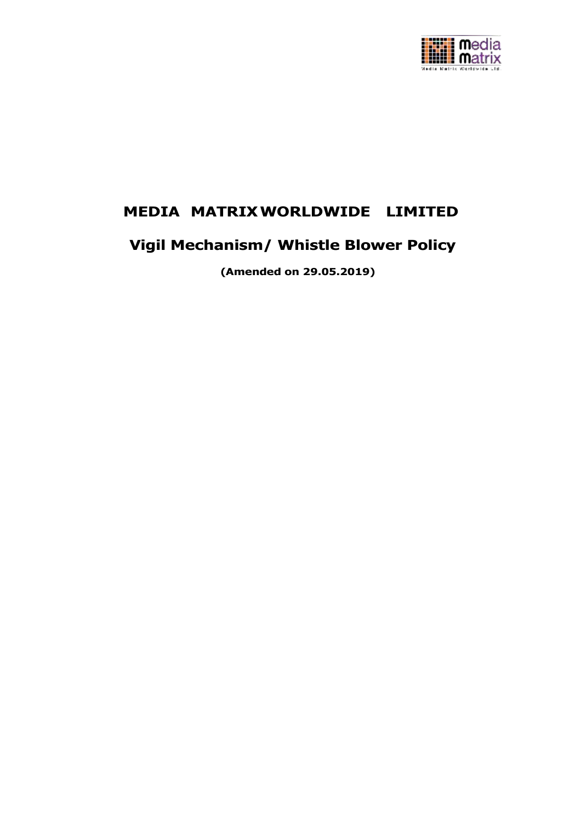

## **MEDIA MATRIXWORLDWIDE LIMITED**

# **Vigil Mechanism/ Whistle Blower Policy**

**(Amended on 29.05.2019)**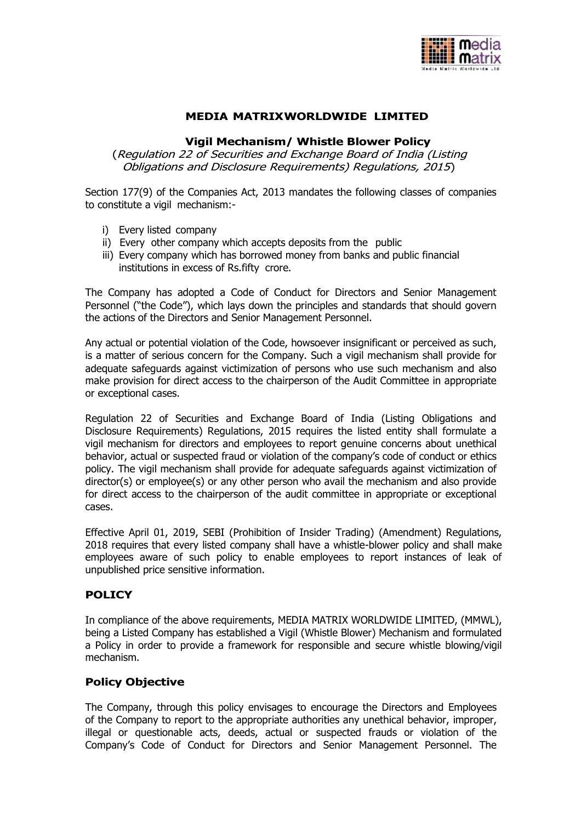

## **MEDIA MATRIXWORLDWIDE LIMITED**

#### **Vigil Mechanism/ Whistle Blower Policy**

(Regulation 22 of Securities and Exchange Board of India (Listing Obligations and Disclosure Requirements) Regulations, 2015)

Section 177(9) of the Companies Act, 2013 mandates the following classes of companies to constitute a vigil mechanism:-

- i) Every listed company
- ii) Every other company which accepts deposits from the public
- iii) Every company which has borrowed money from banks and public financial institutions in excess of Rs.fifty crore.

The Company has adopted a Code of Conduct for Directors and Senior Management Personnel ("the Code"), which lays down the principles and standards that should govern the actions of the Directors and Senior Management Personnel.

Any actual or potential violation of the Code, howsoever insignificant or perceived as such, is a matter of serious concern for the Company. Such a vigil mechanism shall provide for adequate safeguards against victimization of persons who use such mechanism and also make provision for direct access to the chairperson of the Audit Committee in appropriate or exceptional cases.

Regulation 22 of Securities and Exchange Board of India (Listing Obligations and Disclosure Requirements) Regulations, 2015 requires the listed entity shall formulate a vigil mechanism for directors and employees to report genuine concerns about unethical behavior, actual or suspected fraud or violation of the company's code of conduct or ethics policy. The vigil mechanism shall provide for adequate safeguards against victimization of director(s) or employee(s) or any other person who avail the mechanism and also provide for direct access to the chairperson of the audit committee in appropriate or exceptional cases.

Effective April 01, 2019, SEBI (Prohibition of Insider Trading) (Amendment) Regulations, 2018 requires that every listed company shall have a whistle-blower policy and shall make employees aware of such policy to enable employees to report instances of leak of unpublished price sensitive information.

#### **POLICY**

In compliance of the above requirements, MEDIA MATRIX WORLDWIDE LIMITED, (MMWL), being a Listed Company has established a Vigil (Whistle Blower) Mechanism and formulated a Policy in order to provide a framework for responsible and secure whistle blowing/vigil mechanism.

#### **Policy Objective**

The Company, through this policy envisages to encourage the Directors and Employees of the Company to report to the appropriate authorities any unethical behavior, improper, illegal or questionable acts, deeds, actual or suspected frauds or violation of the Company's Code of Conduct for Directors and Senior Management Personnel. The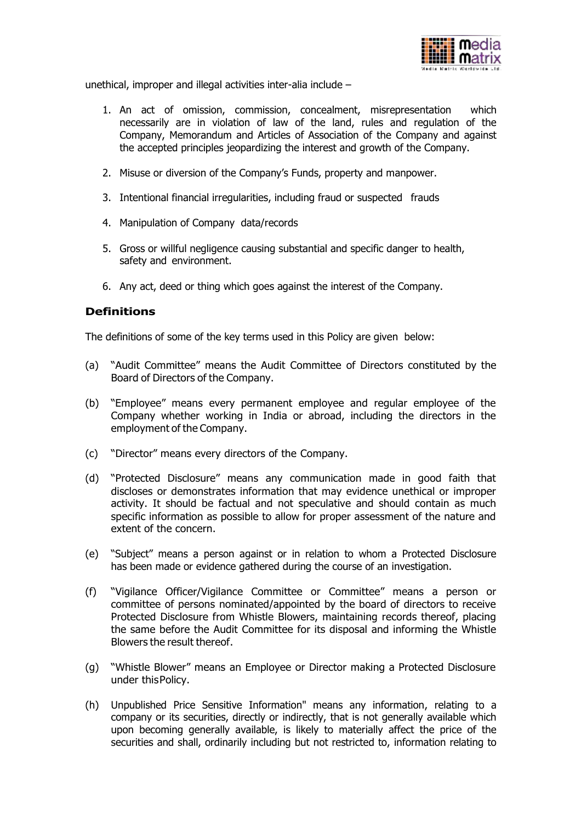

unethical, improper and illegal activities inter-alia include –

- 1. An act of omission, commission, concealment, misrepresentation which necessarily are in violation of law of the land, rules and regulation of the Company, Memorandum and Articles of Association of the Company and against the accepted principles jeopardizing the interest and growth of the Company.
- 2. Misuse or diversion of the Company's Funds, property and manpower.
- 3. Intentional financial irregularities, including fraud or suspected frauds
- 4. Manipulation of Company data/records
- 5. Gross or willful negligence causing substantial and specific danger to health, safety and environment.
- 6. Any act, deed or thing which goes against the interest of the Company.

#### **Definitions**

The definitions of some of the key terms used in this Policy are given below:

- (a) "Audit Committee" means the Audit Committee of Directors constituted by the Board of Directors of the Company.
- (b) "Employee" means every permanent employee and regular employee of the Company whether working in India or abroad, including the directors in the employment of the Company.
- (c) "Director" means every directors of the Company.
- (d) "Protected Disclosure" means any communication made in good faith that discloses or demonstrates information that may evidence unethical or improper activity. It should be factual and not speculative and should contain as much specific information as possible to allow for proper assessment of the nature and extent of the concern.
- (e) "Subject" means a person against or in relation to whom a Protected Disclosure has been made or evidence gathered during the course of an investigation.
- (f) "Vigilance Officer/Vigilance Committee or Committee" means a person or committee of persons nominated/appointed by the board of directors to receive Protected Disclosure from Whistle Blowers, maintaining records thereof, placing the same before the Audit Committee for its disposal and informing the Whistle Blowers the result thereof.
- (g) "Whistle Blower" means an Employee or Director making a Protected Disclosure under thisPolicy.
- (h) Unpublished Price Sensitive Information" means any information, relating to a company or its securities, directly or indirectly, that is not generally available which upon becoming generally available, is likely to materially affect the price of the securities and shall, ordinarily including but not restricted to, information relating to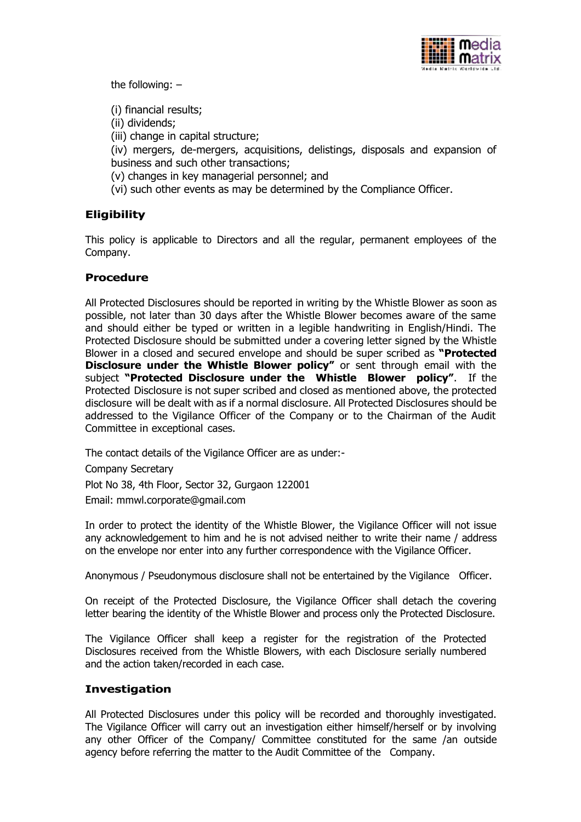

the following: –

(i) financial results;

(ii) dividends;

(iii) change in capital structure;

(iv) mergers, de-mergers, acquisitions, delistings, disposals and expansion of business and such other transactions;

(v) changes in key managerial personnel; and

(vi) such other events as may be determined by the Compliance Officer.

## **Eligibility**

This policy is applicable to Directors and all the regular, permanent employees of the Company.

## **Procedure**

All Protected Disclosures should be reported in writing by the Whistle Blower as soon as possible, not later than 30 days after the Whistle Blower becomes aware of the same and should either be typed or written in a legible handwriting in English/Hindi. The Protected Disclosure should be submitted under a covering letter signed by the Whistle Blower in a closed and secured envelope and should be super scribed as **"Protected Disclosure under the Whistle Blower policy"** or sent through email with the subject **"Protected Disclosure under the Whistle Blower policy"**. If the Protected Disclosure is not super scribed and closed as mentioned above, the protected disclosure will be dealt with as if a normal disclosure. All Protected Disclosures should be addressed to the Vigilance Officer of the Company or to the Chairman of the Audit Committee in exceptional cases.

The contact details of the Vigilance Officer are as under:-

Company Secretary

Plot No 38, 4th Floor, Sector 32, Gurgaon 122001

Email: mmwl.corporate@gmail.com

In order to protect the identity of the Whistle Blower, the Vigilance Officer will not issue any acknowledgement to him and he is not advised neither to write their name / address on the envelope nor enter into any further correspondence with the Vigilance Officer.

Anonymous / Pseudonymous disclosure shall not be entertained by the Vigilance Officer.

On receipt of the Protected Disclosure, the Vigilance Officer shall detach the covering letter bearing the identity of the Whistle Blower and process only the Protected Disclosure.

The Vigilance Officer shall keep a register for the registration of the Protected Disclosures received from the Whistle Blowers, with each Disclosure serially numbered and the action taken/recorded in each case.

## **Investigation**

All Protected Disclosures under this policy will be recorded and thoroughly investigated. The Vigilance Officer will carry out an investigation either himself/herself or by involving any other Officer of the Company/ Committee constituted for the same /an outside agency before referring the matter to the Audit Committee of the Company.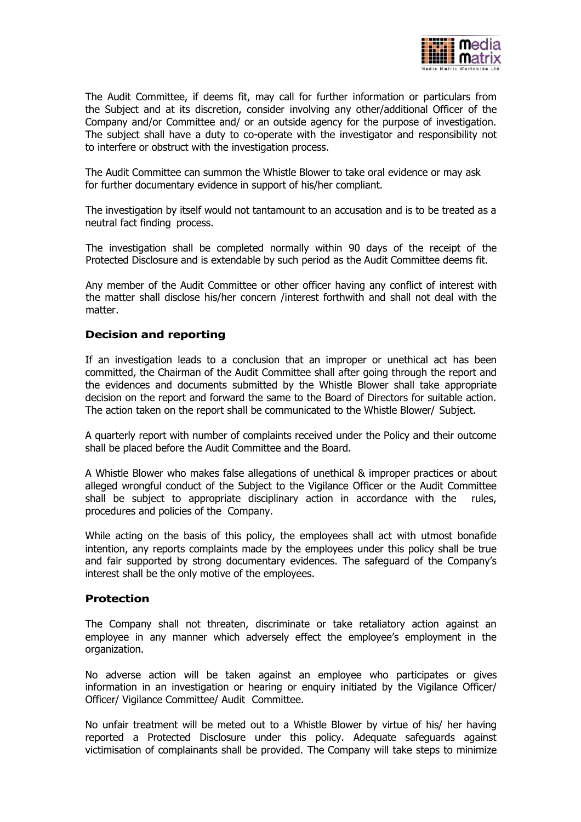

The Audit Committee, if deems fit, may call for further information or particulars from the Subject and at its discretion, consider involving any other/additional Officer of the Company and/or Committee and/ or an outside agency for the purpose of investigation. The subject shall have a duty to co-operate with the investigator and responsibility not to interfere or obstruct with the investigation process.

The Audit Committee can summon the Whistle Blower to take oral evidence or may ask for further documentary evidence in support of his/her compliant.

The investigation by itself would not tantamount to an accusation and is to be treated as a neutral fact finding process.

The investigation shall be completed normally within 90 days of the receipt of the Protected Disclosure and is extendable by such period as the Audit Committee deems fit.

Any member of the Audit Committee or other officer having any conflict of interest with the matter shall disclose his/her concern /interest forthwith and shall not deal with the matter.

## **Decision and reporting**

If an investigation leads to a conclusion that an improper or unethical act has been committed, the Chairman of the Audit Committee shall after going through the report and the evidences and documents submitted by the Whistle Blower shall take appropriate decision on the report and forward the same to the Board of Directors for suitable action. The action taken on the report shall be communicated to the Whistle Blower/ Subject.

A quarterly report with number of complaints received under the Policy and their outcome shall be placed before the Audit Committee and the Board.

A Whistle Blower who makes false allegations of unethical & improper practices or about alleged wrongful conduct of the Subject to the Vigilance Officer or the Audit Committee shall be subject to appropriate disciplinary action in accordance with the rules, procedures and policies of the Company.

While acting on the basis of this policy, the employees shall act with utmost bonafide intention, any reports complaints made by the employees under this policy shall be true and fair supported by strong documentary evidences. The safeguard of the Company's interest shall be the only motive of the employees.

#### **Protection**

The Company shall not threaten, discriminate or take retaliatory action against an employee in any manner which adversely effect the employee's employment in the organization.

No adverse action will be taken against an employee who participates or gives information in an investigation or hearing or enquiry initiated by the Vigilance Officer/ Officer/ Vigilance Committee/ Audit Committee.

No unfair treatment will be meted out to a Whistle Blower by virtue of his/ her having reported a Protected Disclosure under this policy. Adequate safeguards against victimisation of complainants shall be provided. The Company will take steps to minimize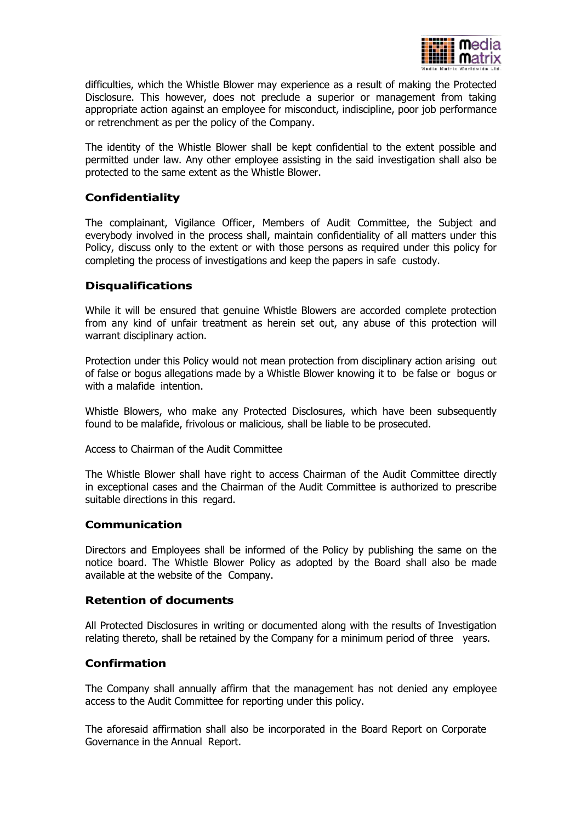

difficulties, which the Whistle Blower may experience as a result of making the Protected Disclosure. This however, does not preclude a superior or management from taking appropriate action against an employee for misconduct, indiscipline, poor job performance or retrenchment as per the policy of the Company.

The identity of the Whistle Blower shall be kept confidential to the extent possible and permitted under law. Any other employee assisting in the said investigation shall also be protected to the same extent as the Whistle Blower.

## **Confidentiality**

The complainant, Vigilance Officer, Members of Audit Committee, the Subject and everybody involved in the process shall, maintain confidentiality of all matters under this Policy, discuss only to the extent or with those persons as required under this policy for completing the process of investigations and keep the papers in safe custody.

## **Disqualifications**

While it will be ensured that genuine Whistle Blowers are accorded complete protection from any kind of unfair treatment as herein set out, any abuse of this protection will warrant disciplinary action.

Protection under this Policy would not mean protection from disciplinary action arising out of false or bogus allegations made by a Whistle Blower knowing it to be false or bogus or with a malafide intention.

Whistle Blowers, who make any Protected Disclosures, which have been subsequently found to be malafide, frivolous or malicious, shall be liable to be prosecuted.

Access to Chairman of the Audit Committee

The Whistle Blower shall have right to access Chairman of the Audit Committee directly in exceptional cases and the Chairman of the Audit Committee is authorized to prescribe suitable directions in this regard.

#### **Communication**

Directors and Employees shall be informed of the Policy by publishing the same on the notice board. The Whistle Blower Policy as adopted by the Board shall also be made available at the website of the Company.

#### **Retention of documents**

All Protected Disclosures in writing or documented along with the results of Investigation relating thereto, shall be retained by the Company for a minimum period of three years.

## **Confirmation**

The Company shall annually affirm that the management has not denied any employee access to the Audit Committee for reporting under this policy.

The aforesaid affirmation shall also be incorporated in the Board Report on Corporate Governance in the Annual Report.